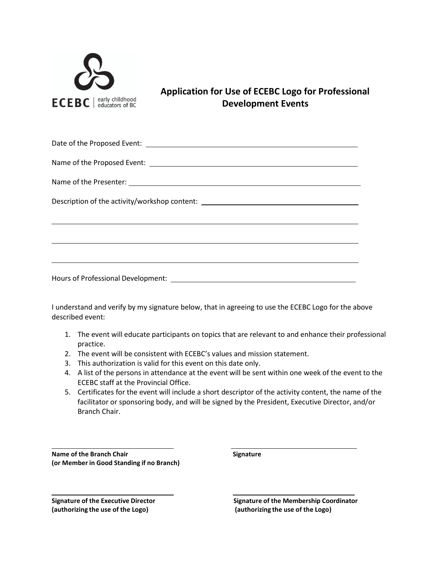

**Application for Use of ECEBC Logo for Professional Development Events**

Date of the Proposed Event:

Name of the Proposed Event:

Name of the Presenter:

Description of the activity/workshop content: \_\_\_\_\_\_\_\_\_\_\_\_\_\_\_\_\_\_\_\_\_\_\_\_\_\_\_\_\_\_\_\_\_\_

Hours of Professional Development:

I understand and verify by my signature below, that in agreeing to use the ECEBC Logo for the above described event:

- 1. The event will educate participants on topics that are relevant to and enhance their professional practice.
- 2. The event will be consistent with ECEBC's values and mission statement.
- 3. This authorization is valid for this event on this date only.
- 4. A list of the persons in attendance at the event will be sent within one week of the event to the ECEBC staff at the Provincial Office.
- 5. Certificates for the event will include a short descriptor of the activity content, the name of the facilitator or sponsoring body, and will be signed by the President, Executive Director, and/or Branch Chair.

**Name of the Branch Chair Signature (or Member in Good Standing if no Branch)**

**(authorizing the use of the Logo) (authorizing the use of the Logo)**

**Signature of the Executive Director Signature of the Membership Coordinator**